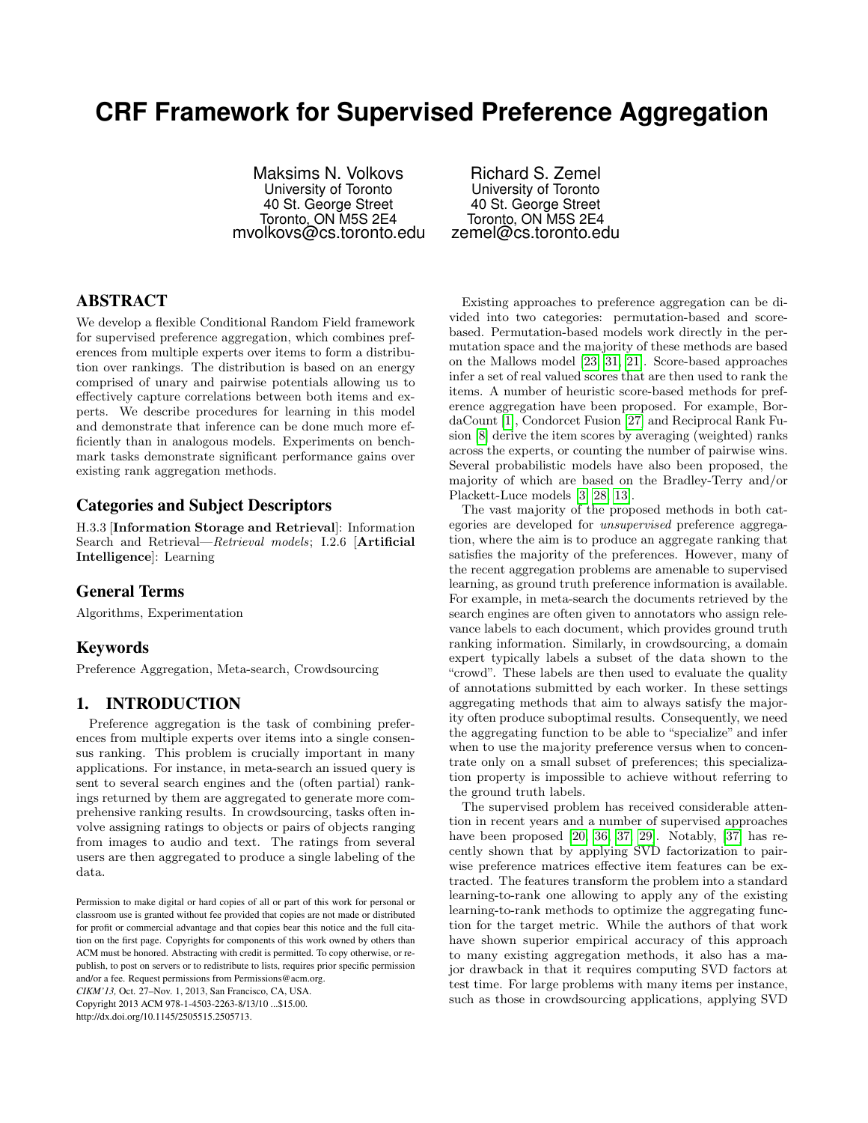# **CRF Framework for Supervised Preference Aggregation**

Maksims N. Volkovs University of Toronto 40 St. George Street Toronto, ON M5S 2E4 mvolkovs@cs.toronto.edu

Richard S. Zemel University of Toronto 40 St. George Street Toronto, ON M5S 2E4 zemel@cs.toronto.edu

# ABSTRACT

We develop a flexible Conditional Random Field framework for supervised preference aggregation, which combines preferences from multiple experts over items to form a distribution over rankings. The distribution is based on an energy comprised of unary and pairwise potentials allowing us to effectively capture correlations between both items and experts. We describe procedures for learning in this model and demonstrate that inference can be done much more efficiently than in analogous models. Experiments on benchmark tasks demonstrate significant performance gains over existing rank aggregation methods.

# Categories and Subject Descriptors

H.3.3 [Information Storage and Retrieval]: Information Search and Retrieval—Retrieval models; I.2.6 [Artificial Intelligence]: Learning

# General Terms

Algorithms, Experimentation

#### Keywords

Preference Aggregation, Meta-search, Crowdsourcing

# 1. INTRODUCTION

Preference aggregation is the task of combining preferences from multiple experts over items into a single consensus ranking. This problem is crucially important in many applications. For instance, in meta-search an issued query is sent to several search engines and the (often partial) rankings returned by them are aggregated to generate more comprehensive ranking results. In crowdsourcing, tasks often involve assigning ratings to objects or pairs of objects ranging from images to audio and text. The ratings from several users are then aggregated to produce a single labeling of the data.

*CIKM'13,* Oct. 27–Nov. 1, 2013, San Francisco, CA, USA. Copyright 2013 ACM 978-1-4503-2263-8/13/10 ...\$15.00. http://dx.doi.org/10.1145/2505515.2505713.

Existing approaches to preference aggregation can be divided into two categories: permutation-based and scorebased. Permutation-based models work directly in the permutation space and the majority of these methods are based on the Mallows model [\[23,](#page-8-0) [31,](#page-9-0) [21\]](#page-8-1). Score-based approaches infer a set of real valued scores that are then used to rank the items. A number of heuristic score-based methods for preference aggregation have been proposed. For example, BordaCount [\[1\]](#page-8-2), Condorcet Fusion [\[27\]](#page-8-3) and Reciprocal Rank Fusion [\[8\]](#page-8-4) derive the item scores by averaging (weighted) ranks across the experts, or counting the number of pairwise wins. Several probabilistic models have also been proposed, the majority of which are based on the Bradley-Terry and/or Plackett-Luce models [\[3,](#page-8-5) [28,](#page-8-6) [13\]](#page-8-7).

The vast majority of the proposed methods in both categories are developed for unsupervised preference aggregation, where the aim is to produce an aggregate ranking that satisfies the majority of the preferences. However, many of the recent aggregation problems are amenable to supervised learning, as ground truth preference information is available. For example, in meta-search the documents retrieved by the search engines are often given to annotators who assign relevance labels to each document, which provides ground truth ranking information. Similarly, in crowdsourcing, a domain expert typically labels a subset of the data shown to the "crowd". These labels are then used to evaluate the quality of annotations submitted by each worker. In these settings aggregating methods that aim to always satisfy the majority often produce suboptimal results. Consequently, we need the aggregating function to be able to "specialize" and infer when to use the majority preference versus when to concentrate only on a small subset of preferences; this specialization property is impossible to achieve without referring to the ground truth labels.

The supervised problem has received considerable attention in recent years and a number of supervised approaches have been proposed [\[20,](#page-8-8) [36,](#page-9-1) [37,](#page-9-2) [29\]](#page-8-9). Notably, [\[37\]](#page-9-2) has recently shown that by applying SVD factorization to pairwise preference matrices effective item features can be extracted. The features transform the problem into a standard learning-to-rank one allowing to apply any of the existing learning-to-rank methods to optimize the aggregating function for the target metric. While the authors of that work have shown superior empirical accuracy of this approach to many existing aggregation methods, it also has a major drawback in that it requires computing SVD factors at test time. For large problems with many items per instance, such as those in crowdsourcing applications, applying SVD

Permission to make digital or hard copies of all or part of this work for personal or classroom use is granted without fee provided that copies are not made or distributed for profit or commercial advantage and that copies bear this notice and the full citation on the first page. Copyrights for components of this work owned by others than ACM must be honored. Abstracting with credit is permitted. To copy otherwise, or republish, to post on servers or to redistribute to lists, requires prior specific permission and/or a fee. Request permissions from Permissions@acm.org.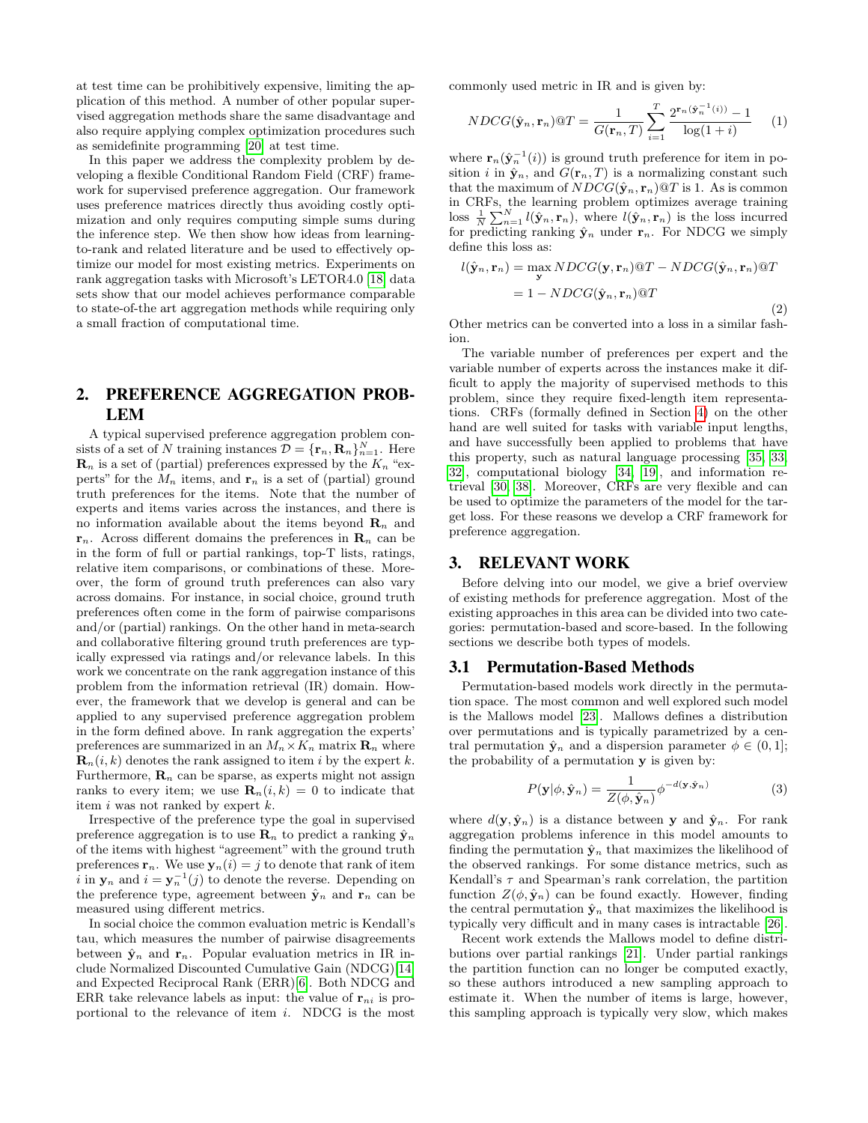at test time can be prohibitively expensive, limiting the application of this method. A number of other popular supervised aggregation methods share the same disadvantage and also require applying complex optimization procedures such as semidefinite programming [\[20\]](#page-8-8) at test time.

In this paper we address the complexity problem by developing a flexible Conditional Random Field (CRF) framework for supervised preference aggregation. Our framework uses preference matrices directly thus avoiding costly optimization and only requires computing simple sums during the inference step. We then show how ideas from learningto-rank and related literature and be used to effectively optimize our model for most existing metrics. Experiments on rank aggregation tasks with Microsoft's LETOR4.0 [\[18\]](#page-8-10) data sets show that our model achieves performance comparable to state-of-the art aggregation methods while requiring only a small fraction of computational time.

# 2. PREFERENCE AGGREGATION PROB-LEM

A typical supervised preference aggregation problem consists of a set of N training instances  $\mathcal{D} = {\{\mathbf{r}_n, \mathbf{R}_n\}}_{n=1}^N$ . Here  $\mathbf{R}_n$  is a set of (partial) preferences expressed by the  $K_n$  "experts" for the  $M_n$  items, and  $\mathbf{r}_n$  is a set of (partial) ground truth preferences for the items. Note that the number of experts and items varies across the instances, and there is no information available about the items beyond  $\mathbf{R}_n$  and  $\mathbf{r}_n$ . Across different domains the preferences in  $\mathbf{R}_n$  can be in the form of full or partial rankings, top-T lists, ratings, relative item comparisons, or combinations of these. Moreover, the form of ground truth preferences can also vary across domains. For instance, in social choice, ground truth preferences often come in the form of pairwise comparisons and/or (partial) rankings. On the other hand in meta-search and collaborative filtering ground truth preferences are typically expressed via ratings and/or relevance labels. In this work we concentrate on the rank aggregation instance of this problem from the information retrieval (IR) domain. However, the framework that we develop is general and can be applied to any supervised preference aggregation problem in the form defined above. In rank aggregation the experts' preferences are summarized in an  $M_n \times K_n$  matrix  $\mathbf{R}_n$  where  $\mathbf{R}_n(i,k)$  denotes the rank assigned to item i by the expert k. Furthermore,  $\mathbf{R}_n$  can be sparse, as experts might not assign ranks to every item; we use  $\mathbf{R}_n(i,k) = 0$  to indicate that item  $i$  was not ranked by expert  $k$ .

Irrespective of the preference type the goal in supervised preference aggregation is to use  $\mathbf{R}_n$  to predict a ranking  $\hat{\mathbf{y}}_n$ of the items with highest "agreement" with the ground truth preferences  $\mathbf{r}_n$ . We use  $\mathbf{y}_n(i) = j$  to denote that rank of item i in  $y_n$  and  $i = y_n^{-1}(j)$  to denote the reverse. Depending on the preference type, agreement between  $\hat{\mathbf{y}}_n$  and  $\mathbf{r}_n$  can be measured using different metrics.

In social choice the common evaluation metric is Kendall's tau, which measures the number of pairwise disagreements between  $\hat{\mathbf{y}}_n$  and  $\mathbf{r}_n$ . Popular evaluation metrics in IR include Normalized Discounted Cumulative Gain (NDCG)[\[14\]](#page-8-11) and Expected Reciprocal Rank (ERR)[\[6\]](#page-8-12). Both NDCG and ERR take relevance labels as input: the value of  $r_{ni}$  is proportional to the relevance of item  $i$ . NDCG is the most commonly used metric in IR and is given by:

$$
NDCG(\hat{\mathbf{y}}_n, \mathbf{r}_n) \mathbf{Q}T = \frac{1}{G(\mathbf{r}_n, T)} \sum_{i=1}^T \frac{2^{\mathbf{r}_n(\hat{\mathbf{y}}_n^{-1}(i))} - 1}{\log(1 + i)} \qquad (1)
$$

where  $\mathbf{r}_n(\hat{\mathbf{y}}_n^{-1}(i))$  is ground truth preference for item in position i in  $\hat{\mathbf{y}}_n$ , and  $G(\mathbf{r}_n, T)$  is a normalizing constant such that the maximum of  $NDCG(\hat{y}_n, r_n)@T$  is 1. As is common in CRFs, the learning problem optimizes average training loss  $\frac{1}{N} \sum_{n=1}^{N} l(\hat{\mathbf{y}}_n, \mathbf{r}_n)$ , where  $l(\hat{\mathbf{y}}_n, \mathbf{r}_n)$  is the loss incurred for predicting ranking  $\hat{\mathbf{y}}_n$  under  $\mathbf{r}_n$ . For NDCG we simply define this loss as:

<span id="page-1-0"></span>
$$
l(\hat{\mathbf{y}}_n, \mathbf{r}_n) = \max_{\mathbf{y}} NDCG(\mathbf{y}, \mathbf{r}_n) \mathbf{Q}T - NDCG(\hat{\mathbf{y}}_n, \mathbf{r}_n) \mathbf{Q}T
$$
  
= 1 - NDCG(\hat{\mathbf{y}}\_n, \mathbf{r}\_n) \mathbf{Q}T (2)

Other metrics can be converted into a loss in a similar fashion.

The variable number of preferences per expert and the variable number of experts across the instances make it difficult to apply the majority of supervised methods to this problem, since they require fixed-length item representations. CRFs (formally defined in Section [4\)](#page-3-0) on the other hand are well suited for tasks with variable input lengths, and have successfully been applied to problems that have this property, such as natural language processing [\[35,](#page-9-3) [33,](#page-9-4) [32\]](#page-9-5), computational biology [\[34,](#page-9-6) [19\]](#page-8-13), and information retrieval [\[30,](#page-9-7) [38\]](#page-9-8). Moreover, CRFs are very flexible and can be used to optimize the parameters of the model for the target loss. For these reasons we develop a CRF framework for preference aggregation.

#### 3. RELEVANT WORK

Before delving into our model, we give a brief overview of existing methods for preference aggregation. Most of the existing approaches in this area can be divided into two categories: permutation-based and score-based. In the following sections we describe both types of models.

#### 3.1 Permutation-Based Methods

Permutation-based models work directly in the permutation space. The most common and well explored such model is the Mallows model [\[23\]](#page-8-0). Mallows defines a distribution over permutations and is typically parametrized by a central permutation  $\hat{\mathbf{y}}_n$  and a dispersion parameter  $\phi \in (0,1]$ ; the probability of a permutation  $\bf{v}$  is given by:

$$
P(\mathbf{y}|\phi,\hat{\mathbf{y}}_n) = \frac{1}{Z(\phi,\hat{\mathbf{y}}_n)} \phi^{-d(\mathbf{y},\hat{\mathbf{y}}_n)}
$$
(3)

where  $d(\mathbf{y}, \hat{\mathbf{y}}_n)$  is a distance between y and  $\hat{\mathbf{y}}_n$ . For rank aggregation problems inference in this model amounts to finding the permutation  $\hat{\mathbf{y}}_n$  that maximizes the likelihood of the observed rankings. For some distance metrics, such as Kendall's  $\tau$  and Spearman's rank correlation, the partition function  $Z(\phi, \hat{\mathbf{y}}_n)$  can be found exactly. However, finding the central permutation  $\hat{\mathbf{y}}_n$  that maximizes the likelihood is typically very difficult and in many cases is intractable [\[26\]](#page-8-14).

Recent work extends the Mallows model to define distributions over partial rankings [\[21\]](#page-8-1). Under partial rankings the partition function can no longer be computed exactly, so these authors introduced a new sampling approach to estimate it. When the number of items is large, however, this sampling approach is typically very slow, which makes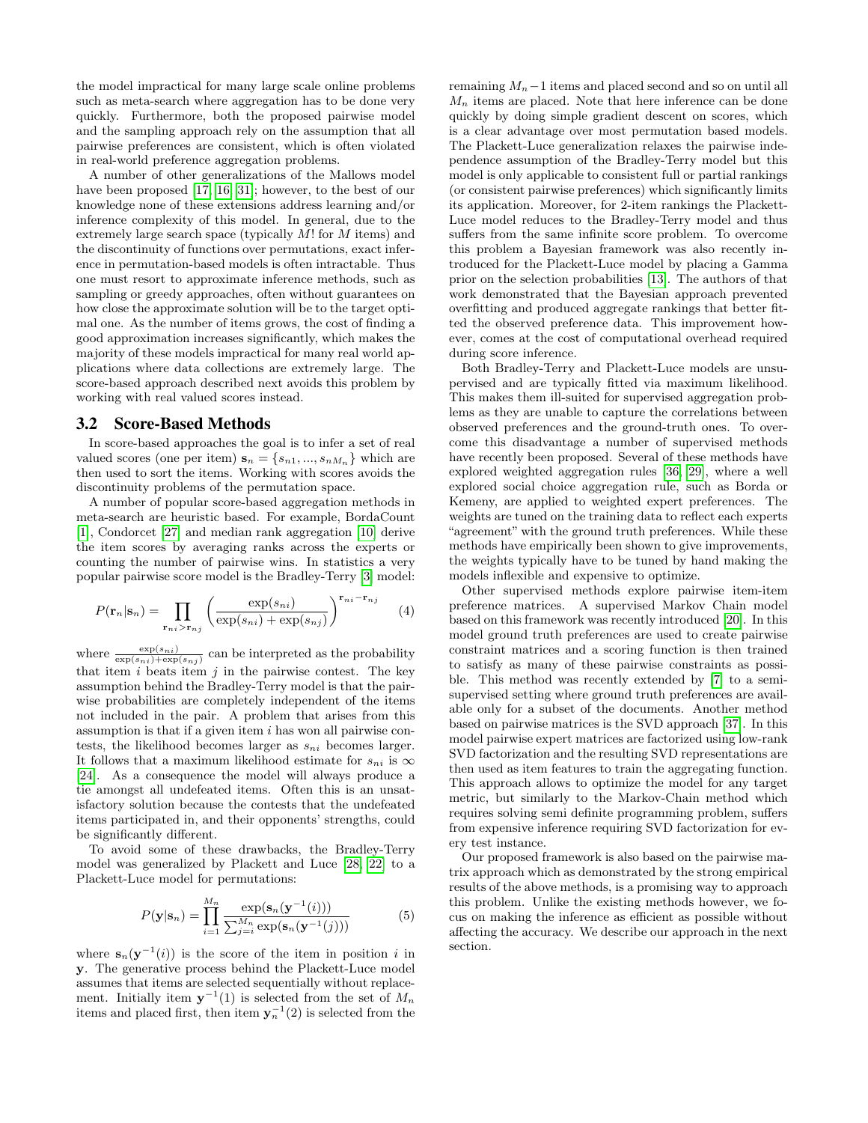the model impractical for many large scale online problems such as meta-search where aggregation has to be done very quickly. Furthermore, both the proposed pairwise model and the sampling approach rely on the assumption that all pairwise preferences are consistent, which is often violated in real-world preference aggregation problems.

A number of other generalizations of the Mallows model have been proposed [\[17,](#page-8-15) [16,](#page-8-16) [31\]](#page-9-0); however, to the best of our knowledge none of these extensions address learning and/or inference complexity of this model. In general, due to the extremely large search space (typically  $M!$  for  $M$  items) and the discontinuity of functions over permutations, exact inference in permutation-based models is often intractable. Thus one must resort to approximate inference methods, such as sampling or greedy approaches, often without guarantees on how close the approximate solution will be to the target optimal one. As the number of items grows, the cost of finding a good approximation increases significantly, which makes the majority of these models impractical for many real world applications where data collections are extremely large. The score-based approach described next avoids this problem by working with real valued scores instead.

#### 3.2 Score-Based Methods

In score-based approaches the goal is to infer a set of real valued scores (one per item)  $s_n = \{s_{n1}, ..., s_{nM_n}\}\$  which are then used to sort the items. Working with scores avoids the discontinuity problems of the permutation space.

A number of popular score-based aggregation methods in meta-search are heuristic based. For example, BordaCount [\[1\]](#page-8-2), Condorcet [\[27\]](#page-8-3) and median rank aggregation [\[10\]](#page-8-17) derive the item scores by averaging ranks across the experts or counting the number of pairwise wins. In statistics a very popular pairwise score model is the Bradley-Terry [\[3\]](#page-8-5) model:

$$
P(\mathbf{r}_n|\mathbf{s}_n) = \prod_{\mathbf{r}_{ni} > \mathbf{r}_{nj}} \left( \frac{\exp(s_{ni})}{\exp(s_{ni}) + \exp(s_{nj})} \right)^{\mathbf{r}_{ni} - \mathbf{r}_{nj}} \tag{4}
$$

where  $\frac{\exp(s_{ni})}{\exp(s_{ni})+\exp(s_{nj})}$  can be interpreted as the probability that item  $i$  beats item  $j$  in the pairwise contest. The key assumption behind the Bradley-Terry model is that the pairwise probabilities are completely independent of the items not included in the pair. A problem that arises from this assumption is that if a given item  $i$  has won all pairwise contests, the likelihood becomes larger as  $s_{ni}$  becomes larger. It follows that a maximum likelihood estimate for  $s_{ni}$  is  $\infty$ [\[24\]](#page-8-18). As a consequence the model will always produce a tie amongst all undefeated items. Often this is an unsatisfactory solution because the contests that the undefeated items participated in, and their opponents' strengths, could be significantly different.

To avoid some of these drawbacks, the Bradley-Terry model was generalized by Plackett and Luce [\[28,](#page-8-6) [22\]](#page-8-19) to a Plackett-Luce model for permutations:

$$
P(\mathbf{y}|\mathbf{s}_n) = \prod_{i=1}^{M_n} \frac{\exp(\mathbf{s}_n(\mathbf{y}^{-1}(i)))}{\sum_{j=i}^{M_n} \exp(\mathbf{s}_n(\mathbf{y}^{-1}(j)))}
$$
(5)

where  $\mathbf{s}_n(\mathbf{y}^{-1}(i))$  is the score of the item in position i in y. The generative process behind the Plackett-Luce model assumes that items are selected sequentially without replacement. Initially item  $y^{-1}(1)$  is selected from the set of  $M_n$ items and placed first, then item  $y_n^{-1}(2)$  is selected from the remaining  $M_n-1$  items and placed second and so on until all  $M_n$  items are placed. Note that here inference can be done quickly by doing simple gradient descent on scores, which is a clear advantage over most permutation based models. The Plackett-Luce generalization relaxes the pairwise independence assumption of the Bradley-Terry model but this model is only applicable to consistent full or partial rankings (or consistent pairwise preferences) which significantly limits its application. Moreover, for 2-item rankings the Plackett-Luce model reduces to the Bradley-Terry model and thus suffers from the same infinite score problem. To overcome this problem a Bayesian framework was also recently introduced for the Plackett-Luce model by placing a Gamma prior on the selection probabilities [\[13\]](#page-8-7). The authors of that work demonstrated that the Bayesian approach prevented overfitting and produced aggregate rankings that better fitted the observed preference data. This improvement however, comes at the cost of computational overhead required during score inference.

Both Bradley-Terry and Plackett-Luce models are unsupervised and are typically fitted via maximum likelihood. This makes them ill-suited for supervised aggregation problems as they are unable to capture the correlations between observed preferences and the ground-truth ones. To overcome this disadvantage a number of supervised methods have recently been proposed. Several of these methods have explored weighted aggregation rules [\[36,](#page-9-1) [29\]](#page-8-9), where a well explored social choice aggregation rule, such as Borda or Kemeny, are applied to weighted expert preferences. The weights are tuned on the training data to reflect each experts "agreement" with the ground truth preferences. While these methods have empirically been shown to give improvements, the weights typically have to be tuned by hand making the models inflexible and expensive to optimize.

Other supervised methods explore pairwise item-item preference matrices. A supervised Markov Chain model based on this framework was recently introduced [\[20\]](#page-8-8). In this model ground truth preferences are used to create pairwise constraint matrices and a scoring function is then trained to satisfy as many of these pairwise constraints as possible. This method was recently extended by [\[7\]](#page-8-20) to a semisupervised setting where ground truth preferences are available only for a subset of the documents. Another method based on pairwise matrices is the SVD approach [\[37\]](#page-9-2). In this model pairwise expert matrices are factorized using low-rank SVD factorization and the resulting SVD representations are then used as item features to train the aggregating function. This approach allows to optimize the model for any target metric, but similarly to the Markov-Chain method which requires solving semi definite programming problem, suffers from expensive inference requiring SVD factorization for every test instance.

Our proposed framework is also based on the pairwise matrix approach which as demonstrated by the strong empirical results of the above methods, is a promising way to approach this problem. Unlike the existing methods however, we focus on making the inference as efficient as possible without affecting the accuracy. We describe our approach in the next section.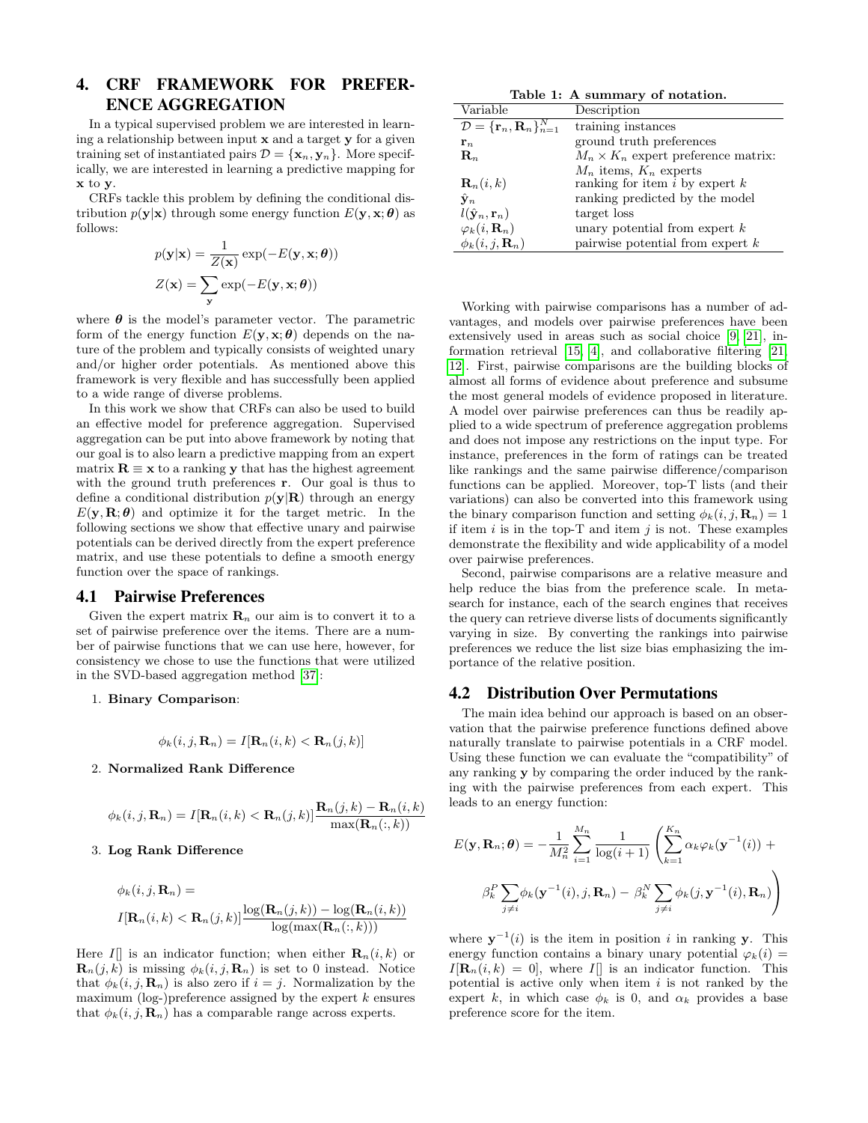# <span id="page-3-0"></span>4. CRF FRAMEWORK FOR PREFER-ENCE AGGREGATION

In a typical supervised problem we are interested in learning a relationship between input x and a target y for a given training set of instantiated pairs  $\mathcal{D} = {\mathbf{x}_n, \mathbf{y}_n}$ . More specifically, we are interested in learning a predictive mapping for x to y.

CRFs tackle this problem by defining the conditional distribution  $p(\mathbf{y}|\mathbf{x})$  through some energy function  $E(\mathbf{y}, \mathbf{x}; \boldsymbol{\theta})$  as follows:

$$
p(\mathbf{y}|\mathbf{x}) = \frac{1}{Z(\mathbf{x})} \exp(-E(\mathbf{y}, \mathbf{x}; \boldsymbol{\theta}))
$$

$$
Z(\mathbf{x}) = \sum_{\mathbf{y}} \exp(-E(\mathbf{y}, \mathbf{x}; \boldsymbol{\theta}))
$$

where  $\theta$  is the model's parameter vector. The parametric form of the energy function  $E(\mathbf{y}, \mathbf{x}; \boldsymbol{\theta})$  depends on the nature of the problem and typically consists of weighted unary and/or higher order potentials. As mentioned above this framework is very flexible and has successfully been applied to a wide range of diverse problems.

In this work we show that CRFs can also be used to build an effective model for preference aggregation. Supervised aggregation can be put into above framework by noting that our goal is to also learn a predictive mapping from an expert matrix  $\mathbf{R} \equiv \mathbf{x}$  to a ranking y that has the highest agreement with the ground truth preferences **r**. Our goal is thus to define a conditional distribution  $p(\mathbf{y}|\mathbf{R})$  through an energy  $E(\mathbf{y}, \mathbf{R}; \boldsymbol{\theta})$  and optimize it for the target metric. In the following sections we show that effective unary and pairwise potentials can be derived directly from the expert preference matrix, and use these potentials to define a smooth energy function over the space of rankings.

#### <span id="page-3-1"></span>4.1 Pairwise Preferences

Given the expert matrix  $\mathbf{R}_n$  our aim is to convert it to a set of pairwise preference over the items. There are a number of pairwise functions that we can use here, however, for consistency we chose to use the functions that were utilized in the SVD-based aggregation method [\[37\]](#page-9-2):

#### 1. Binary Comparison:

$$
\phi_k(i, j, \mathbf{R}_n) = I[\mathbf{R}_n(i, k) < \mathbf{R}_n(j, k)]
$$

#### 2. Normalized Rank Difference

$$
\phi_k(i,j,\mathbf{R}_n) = I[\mathbf{R}_n(i,k) < \mathbf{R}_n(j,k)] \frac{\mathbf{R}_n(j,k) - \mathbf{R}_n(i,k)}{\max(\mathbf{R}_n(:,k))}
$$

#### 3. Log Rank Difference

$$
\phi_k(i,j,\mathbf{R}_n) =
$$
  

$$
I[\mathbf{R}_n(i,k) < \mathbf{R}_n(j,k)] \frac{\log(\mathbf{R}_n(j,k)) - \log(\mathbf{R}_n(i,k))}{\log(\max(\mathbf{R}_n(i,k)))}
$$

Here I[] is an indicator function; when either  $\mathbf{R}_n(i,k)$  or  $\mathbf{R}_n(j,k)$  is missing  $\phi_k(i,j,\mathbf{R}_n)$  is set to 0 instead. Notice that  $\phi_k(i, j, \mathbf{R}_n)$  is also zero if  $i = j$ . Normalization by the maximum (log-)preference assigned by the expert  $k$  ensures that  $\phi_k(i, j, \mathbf{R}_n)$  has a comparable range across experts.

Table 1: A summary of notation.

| Variable                                                             | Description                                |
|----------------------------------------------------------------------|--------------------------------------------|
| $\mathcal{D} = {\mathbf{\lbrace r}_n, \mathbf{R}_n \rbrace}_{n=1}^N$ | training instances                         |
| ${\bf r}_n$                                                          | ground truth preferences                   |
| $\mathbf{R}_n$                                                       | $M_n \times K_n$ expert preference matrix: |
|                                                                      | $M_n$ items, $K_n$ experts                 |
| $\mathbf{R}_n(i,k)$                                                  | ranking for item $i$ by expert $k$         |
| $\hat{\mathbf{y}}_n$                                                 | ranking predicted by the model             |
| $l(\hat{\mathbf{y}}_n, \mathbf{r}_n)$                                | target loss                                |
| $\varphi_k(i, \mathbf{R}_n)$                                         | unary potential from expert $k$            |
| $\phi_k(i, j, \mathbf{R}_n)$                                         | pairwise potential from expert $k$         |

Working with pairwise comparisons has a number of advantages, and models over pairwise preferences have been extensively used in areas such as social choice [\[9,](#page-8-21) [21\]](#page-8-1), information retrieval [\[15,](#page-8-22) [4\]](#page-8-23), and collaborative filtering [\[21,](#page-8-1) [12\]](#page-8-24). First, pairwise comparisons are the building blocks of almost all forms of evidence about preference and subsume the most general models of evidence proposed in literature. A model over pairwise preferences can thus be readily applied to a wide spectrum of preference aggregation problems and does not impose any restrictions on the input type. For instance, preferences in the form of ratings can be treated like rankings and the same pairwise difference/comparison functions can be applied. Moreover, top-T lists (and their variations) can also be converted into this framework using the binary comparison function and setting  $\phi_k(i, j, \mathbf{R}_n) = 1$ if item  $i$  is in the top-T and item  $j$  is not. These examples demonstrate the flexibility and wide applicability of a model over pairwise preferences.

Second, pairwise comparisons are a relative measure and help reduce the bias from the preference scale. In metasearch for instance, each of the search engines that receives the query can retrieve diverse lists of documents significantly varying in size. By converting the rankings into pairwise preferences we reduce the list size bias emphasizing the importance of the relative position.

#### 4.2 Distribution Over Permutations

The main idea behind our approach is based on an observation that the pairwise preference functions defined above naturally translate to pairwise potentials in a CRF model. Using these function we can evaluate the "compatibility" of any ranking y by comparing the order induced by the ranking with the pairwise preferences from each expert. This leads to an energy function:

$$
E(\mathbf{y}, \mathbf{R}_n; \boldsymbol{\theta}) = -\frac{1}{M_n^2} \sum_{i=1}^{M_n} \frac{1}{\log(i+1)} \left( \sum_{k=1}^{K_n} \alpha_k \varphi_k(\mathbf{y}^{-1}(i)) + \beta_k^P \sum_{j \neq i} \phi_k(\mathbf{y}^{-1}(i), j, \mathbf{R}_n) - \beta_k^N \sum_{j \neq i} \phi_k(j, \mathbf{y}^{-1}(i), \mathbf{R}_n) \right)
$$

where  $y^{-1}(i)$  is the item in position i in ranking y. This energy function contains a binary unary potential  $\varphi_k(i)$  $I[\mathbf{R}_n(i,k) = 0]$ , where I[] is an indicator function. This potential is active only when item  $i$  is not ranked by the expert k, in which case  $\phi_k$  is 0, and  $\alpha_k$  provides a base preference score for the item.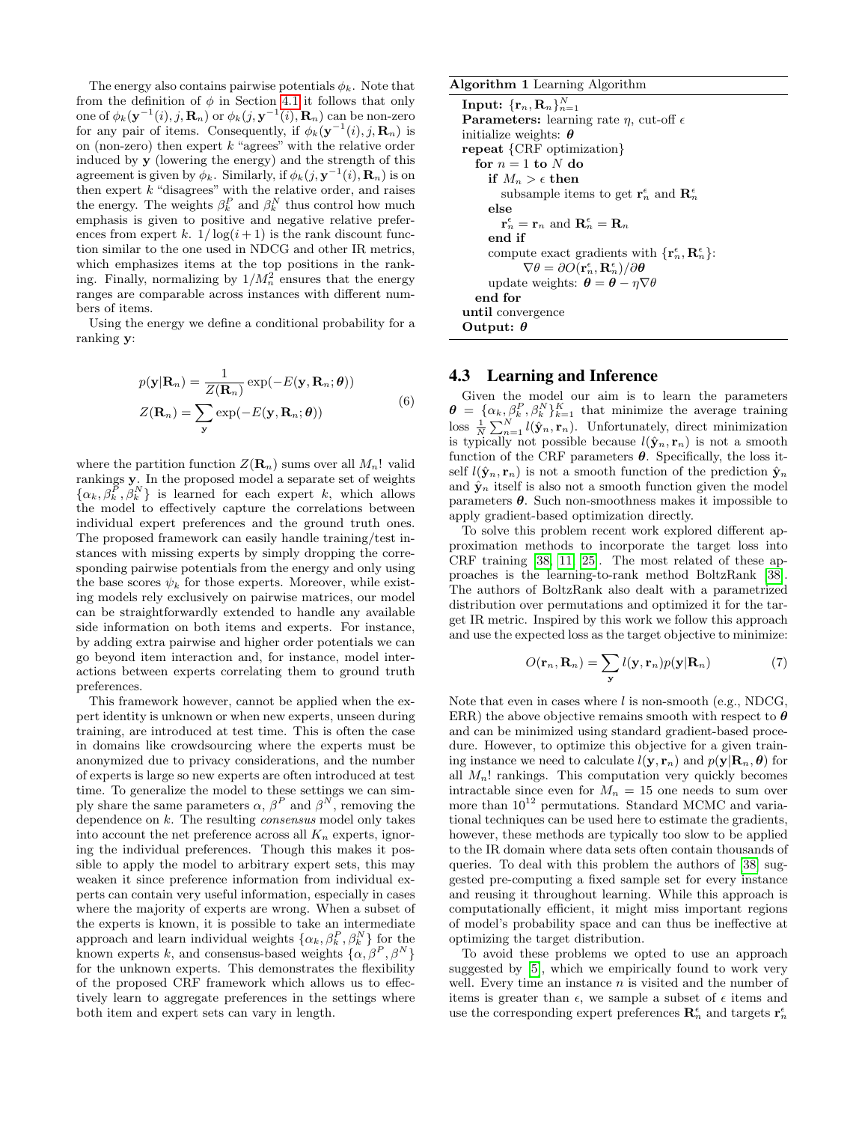The energy also contains pairwise potentials  $\phi_k$ . Note that from the definition of  $\phi$  in Section [4.1](#page-3-1) it follows that only one of  $\phi_k(\mathbf{y}^{-1}(i),j,\mathbf{R}_n)$  or  $\phi_k(j,\mathbf{y}^{-1}(i),\mathbf{R}_n)$  can be non-zero for any pair of items. Consequently, if  $\phi_k(\mathbf{y}^{-1}(i), j, \mathbf{R}_n)$  is on (non-zero) then expert  $k$  "agrees" with the relative order induced by y (lowering the energy) and the strength of this agreement is given by  $\phi_k$ . Similarly, if  $\phi_k(j, \mathbf{y}^{-1}(i), \mathbf{R}_n)$  is on then expert  $k$  "disagrees" with the relative order, and raises the energy. The weights  $\beta_k^P$  and  $\beta_k^N$  thus control how much emphasis is given to positive and negative relative preferences from expert k.  $1/\log(i+1)$  is the rank discount function similar to the one used in NDCG and other IR metrics, which emphasizes items at the top positions in the ranking. Finally, normalizing by  $1/M_n^2$  ensures that the energy ranges are comparable across instances with different numbers of items.

Using the energy we define a conditional probability for a ranking y:

$$
p(\mathbf{y}|\mathbf{R}_n) = \frac{1}{Z(\mathbf{R}_n)} \exp(-E(\mathbf{y}, \mathbf{R}_n; \boldsymbol{\theta}))
$$
  

$$
Z(\mathbf{R}_n) = \sum_{\mathbf{y}} \exp(-E(\mathbf{y}, \mathbf{R}_n; \boldsymbol{\theta}))
$$
 (6)

where the partition function  $Z(\mathbf{R}_n)$  sums over all  $M_n!$  valid rankings y. In the proposed model a separate set of weights  $\{\alpha_k, \beta_k^P, \beta_k^N\}$  is learned for each expert k, which allows the model to effectively capture the correlations between individual expert preferences and the ground truth ones. The proposed framework can easily handle training/test instances with missing experts by simply dropping the corresponding pairwise potentials from the energy and only using the base scores  $\psi_k$  for those experts. Moreover, while existing models rely exclusively on pairwise matrices, our model can be straightforwardly extended to handle any available side information on both items and experts. For instance, by adding extra pairwise and higher order potentials we can go beyond item interaction and, for instance, model interactions between experts correlating them to ground truth preferences.

This framework however, cannot be applied when the expert identity is unknown or when new experts, unseen during training, are introduced at test time. This is often the case in domains like crowdsourcing where the experts must be anonymized due to privacy considerations, and the number of experts is large so new experts are often introduced at test time. To generalize the model to these settings we can simply share the same parameters  $\alpha$ ,  $\beta^P$  and  $\beta^N$ , removing the dependence on  $k$ . The resulting *consensus* model only takes into account the net preference across all  $K_n$  experts, ignoring the individual preferences. Though this makes it possible to apply the model to arbitrary expert sets, this may weaken it since preference information from individual experts can contain very useful information, especially in cases where the majority of experts are wrong. When a subset of the experts is known, it is possible to take an intermediate approach and learn individual weights  $\{\alpha_k, \beta_k^P, \beta_k^N\}$  for the known experts k, and consensus-based weights  $\{\alpha, \beta^P, \beta^N\}$ for the unknown experts. This demonstrates the flexibility of the proposed CRF framework which allows us to effectively learn to aggregate preferences in the settings where both item and expert sets can vary in length.

#### Algorithm 1 Learning Algorithm

```
\mathbf{Input:} \ \{\mathbf{r}_n, \mathbf{R}_n\}_{n=1}^NParameters: learning rate \eta, cut-off \epsiloninitialize weights: \boldsymbol{\theta}repeat {CRF optimization}
    for n = 1 to N do
        if M_n > \epsilon then
             subsample items to get \mathbf{r}_n^{\epsilon} and \mathbf{R}_n^{\epsilon}else
             \mathbf{r}_n^{\epsilon} = \mathbf{r}_n and \mathbf{R}_n^{\epsilon} = \mathbf{R}_nend if
         compute exact gradients with \{r_n^{\epsilon}, \mathbf{R}_n^{\epsilon}\}\:
                    \nabla \theta = \partial O(\mathbf{r}_n^{\epsilon}, \mathbf{R}_n^{\epsilon})/\partial \boldsymbol{\theta}update weights: \theta = \theta - \eta \nabla \thetaend for
until convergence
Output: θ
```
#### 4.3 Learning and Inference

Given the model our aim is to learn the parameters  $\boldsymbol{\theta} = {\alpha_k, \beta_k^P, \beta_k^N}_{k=1}^K$  that minimize the average training loss  $\frac{1}{N} \sum_{n=1}^{N} l(\hat{\mathbf{y}}_n, \mathbf{r}_n)$ . Unfortunately, direct minimization is typically not possible because  $l(\hat{\mathbf{y}}_n, \mathbf{r}_n)$  is not a smooth function of the CRF parameters  $\theta$ . Specifically, the loss itself  $l(\hat{\mathbf{y}}_n, \mathbf{r}_n)$  is not a smooth function of the prediction  $\hat{\mathbf{y}}_n$ and  $\hat{\mathbf{y}}_n$  itself is also not a smooth function given the model parameters  $\theta$ . Such non-smoothness makes it impossible to apply gradient-based optimization directly.

To solve this problem recent work explored different approximation methods to incorporate the target loss into CRF training [\[38,](#page-9-8) [11,](#page-8-25) [25\]](#page-8-26). The most related of these approaches is the learning-to-rank method BoltzRank [\[38\]](#page-9-8). The authors of BoltzRank also dealt with a parametrized distribution over permutations and optimized it for the target IR metric. Inspired by this work we follow this approach and use the expected loss as the target objective to minimize:

$$
O(\mathbf{r}_n, \mathbf{R}_n) = \sum_{\mathbf{y}} l(\mathbf{y}, \mathbf{r}_n) p(\mathbf{y} | \mathbf{R}_n)
$$
 (7)

Note that even in cases where  $l$  is non-smooth (e.g., NDCG, ERR) the above objective remains smooth with respect to  $\theta$ and can be minimized using standard gradient-based procedure. However, to optimize this objective for a given training instance we need to calculate  $l(\mathbf{y}, \mathbf{r}_n)$  and  $p(\mathbf{y}|\mathbf{R}_n, \theta)$  for all  $M_n!$  rankings. This computation very quickly becomes intractable since even for  $M_n = 15$  one needs to sum over more than  $10^{12}$  permutations. Standard MCMC and variational techniques can be used here to estimate the gradients, however, these methods are typically too slow to be applied to the IR domain where data sets often contain thousands of queries. To deal with this problem the authors of [\[38\]](#page-9-8) suggested pre-computing a fixed sample set for every instance and reusing it throughout learning. While this approach is computationally efficient, it might miss important regions of model's probability space and can thus be ineffective at optimizing the target distribution.

To avoid these problems we opted to use an approach suggested by [\[5\]](#page-8-27), which we empirically found to work very well. Every time an instance  $n$  is visited and the number of items is greater than  $\epsilon$ , we sample a subset of  $\epsilon$  items and use the corresponding expert preferences  $\mathbf{R}_{n}^{\epsilon}$  and targets  $\mathbf{r}_{n}^{\epsilon}$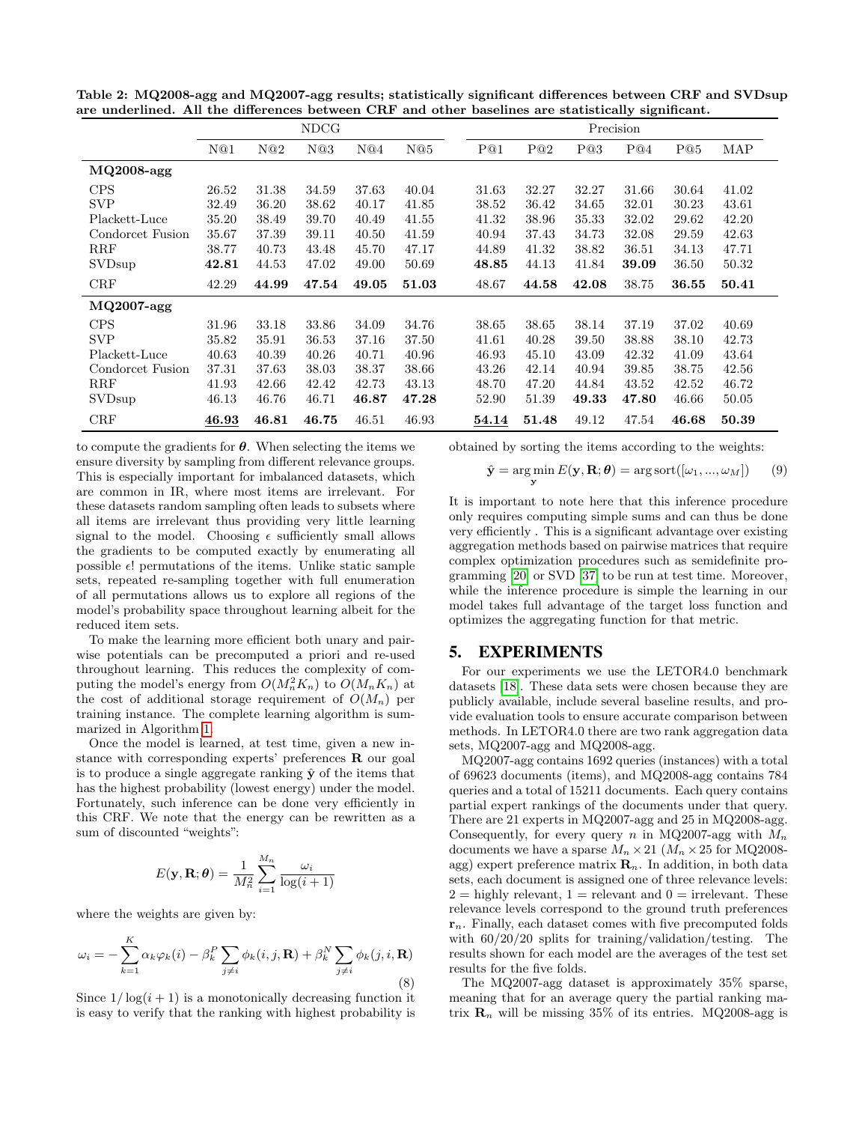|                    | <b>NDCG</b> |       |       |       | Precision |       |       |       |       |       |            |
|--------------------|-------------|-------|-------|-------|-----------|-------|-------|-------|-------|-------|------------|
|                    | N@1         | N@2   | N@3   | N@4   | N@5       | P@1   | P@2   | P@3   | P@4   | P@5   | <b>MAP</b> |
| $MQ2008$ -agg      |             |       |       |       |           |       |       |       |       |       |            |
| <b>CPS</b>         | 26.52       | 31.38 | 34.59 | 37.63 | 40.04     | 31.63 | 32.27 | 32.27 | 31.66 | 30.64 | 41.02      |
| <b>SVP</b>         | 32.49       | 36.20 | 38.62 | 40.17 | 41.85     | 38.52 | 36.42 | 34.65 | 32.01 | 30.23 | 43.61      |
| Plackett-Luce      | 35.20       | 38.49 | 39.70 | 40.49 | 41.55     | 41.32 | 38.96 | 35.33 | 32.02 | 29.62 | 42.20      |
| Condorcet Fusion   | 35.67       | 37.39 | 39.11 | 40.50 | 41.59     | 40.94 | 37.43 | 34.73 | 32.08 | 29.59 | 42.63      |
| <b>RRF</b>         | 38.77       | 40.73 | 43.48 | 45.70 | 47.17     | 44.89 | 41.32 | 38.82 | 36.51 | 34.13 | 47.71      |
| SVD <sub>sup</sub> | 42.81       | 44.53 | 47.02 | 49.00 | 50.69     | 48.85 | 44.13 | 41.84 | 39.09 | 36.50 | 50.32      |
| <b>CRF</b>         | 42.29       | 44.99 | 47.54 | 49.05 | 51.03     | 48.67 | 44.58 | 42.08 | 38.75 | 36.55 | 50.41      |
| $MQ2007$ -agg      |             |       |       |       |           |       |       |       |       |       |            |
| <b>CPS</b>         | 31.96       | 33.18 | 33.86 | 34.09 | 34.76     | 38.65 | 38.65 | 38.14 | 37.19 | 37.02 | 40.69      |
| <b>SVP</b>         | 35.82       | 35.91 | 36.53 | 37.16 | 37.50     | 41.61 | 40.28 | 39.50 | 38.88 | 38.10 | 42.73      |
| Plackett-Luce      | 40.63       | 40.39 | 40.26 | 40.71 | 40.96     | 46.93 | 45.10 | 43.09 | 42.32 | 41.09 | 43.64      |
| Condorcet Fusion   | 37.31       | 37.63 | 38.03 | 38.37 | 38.66     | 43.26 | 42.14 | 40.94 | 39.85 | 38.75 | 42.56      |
| <b>RRF</b>         | 41.93       | 42.66 | 42.42 | 42.73 | 43.13     | 48.70 | 47.20 | 44.84 | 43.52 | 42.52 | 46.72      |
| SVD <sub>sup</sub> | 46.13       | 46.76 | 46.71 | 46.87 | 47.28     | 52.90 | 51.39 | 49.33 | 47.80 | 46.66 | 50.05      |
| $_{\rm CRF}$       | 46.93       | 46.81 | 46.75 | 46.51 | 46.93     | 54.14 | 51.48 | 49.12 | 47.54 | 46.68 | 50.39      |

<span id="page-5-0"></span>Table 2: MQ2008-agg and MQ2007-agg results; statistically significant differences between CRF and SVDsup are underlined. All the differences between CRF and other baselines are statistically significant.

to compute the gradients for  $\theta$ . When selecting the items we ensure diversity by sampling from different relevance groups. This is especially important for imbalanced datasets, which are common in IR, where most items are irrelevant. For these datasets random sampling often leads to subsets where all items are irrelevant thus providing very little learning signal to the model. Choosing  $\epsilon$  sufficiently small allows the gradients to be computed exactly by enumerating all possible  $\epsilon$ ! permutations of the items. Unlike static sample sets, repeated re-sampling together with full enumeration of all permutations allows us to explore all regions of the model's probability space throughout learning albeit for the reduced item sets.

To make the learning more efficient both unary and pairwise potentials can be precomputed a priori and re-used throughout learning. This reduces the complexity of computing the model's energy from  $O(M_n^2 K_n)$  to  $O(M_n K_n)$  at the cost of additional storage requirement of  $O(M_n)$  per training instance. The complete learning algorithm is summarized in Algorithm [1.](#page-4-0)

Once the model is learned, at test time, given a new instance with corresponding experts' preferences R our goal is to produce a single aggregate ranking  $\hat{y}$  of the items that has the highest probability (lowest energy) under the model. Fortunately, such inference can be done very efficiently in this CRF. We note that the energy can be rewritten as a sum of discounted "weights":

$$
E(\mathbf{y}, \mathbf{R}; \boldsymbol{\theta}) = \frac{1}{M_n^2} \sum_{i=1}^{M_n} \frac{\omega_i}{\log(i+1)}
$$

where the weights are given by:

$$
\omega_i = -\sum_{k=1}^K \alpha_k \varphi_k(i) - \beta_k^P \sum_{j \neq i} \phi_k(i, j, \mathbf{R}) + \beta_k^N \sum_{j \neq i} \phi_k(j, i, \mathbf{R})
$$
\n(8)

Since  $1/\log(i + 1)$  is a monotonically decreasing function it is easy to verify that the ranking with highest probability is obtained by sorting the items according to the weights:

$$
\hat{\mathbf{y}} = \underset{\mathbf{y}}{\arg\min} E(\mathbf{y}, \mathbf{R}; \boldsymbol{\theta}) = \underset{\mathbf{x}}{\arg\text{sort}}([\omega_1, ..., \omega_M]) \qquad (9)
$$

It is important to note here that this inference procedure only requires computing simple sums and can thus be done very efficiently . This is a significant advantage over existing aggregation methods based on pairwise matrices that require complex optimization procedures such as semidefinite programming [\[20\]](#page-8-8) or SVD [\[37\]](#page-9-2) to be run at test time. Moreover, while the inference procedure is simple the learning in our model takes full advantage of the target loss function and optimizes the aggregating function for that metric.

# 5. EXPERIMENTS

For our experiments we use the LETOR4.0 benchmark datasets [\[18\]](#page-8-10). These data sets were chosen because they are publicly available, include several baseline results, and provide evaluation tools to ensure accurate comparison between methods. In LETOR4.0 there are two rank aggregation data sets, MQ2007-agg and MQ2008-agg.

MQ2007-agg contains 1692 queries (instances) with a total of 69623 documents (items), and MQ2008-agg contains 784 queries and a total of 15211 documents. Each query contains partial expert rankings of the documents under that query. There are 21 experts in MQ2007-agg and 25 in MQ2008-agg. Consequently, for every query n in MQ2007-agg with  $M_n$ documents we have a sparse  $M_n \times 21$  ( $M_n \times 25$  for MQ2008agg) expert preference matrix  $\mathbf{R}_n$ . In addition, in both data sets, each document is assigned one of three relevance levels:  $2 =$ highly relevant,  $1 =$  relevant and  $0 =$  irrelevant. These relevance levels correspond to the ground truth preferences  $\mathbf{r}_n$ . Finally, each dataset comes with five precomputed folds with  $60/20/20$  splits for training/validation/testing. The results shown for each model are the averages of the test set results for the five folds.

The MQ2007-agg dataset is approximately 35% sparse, meaning that for an average query the partial ranking matrix  $\mathbf{R}_n$  will be missing 35% of its entries. MQ2008-agg is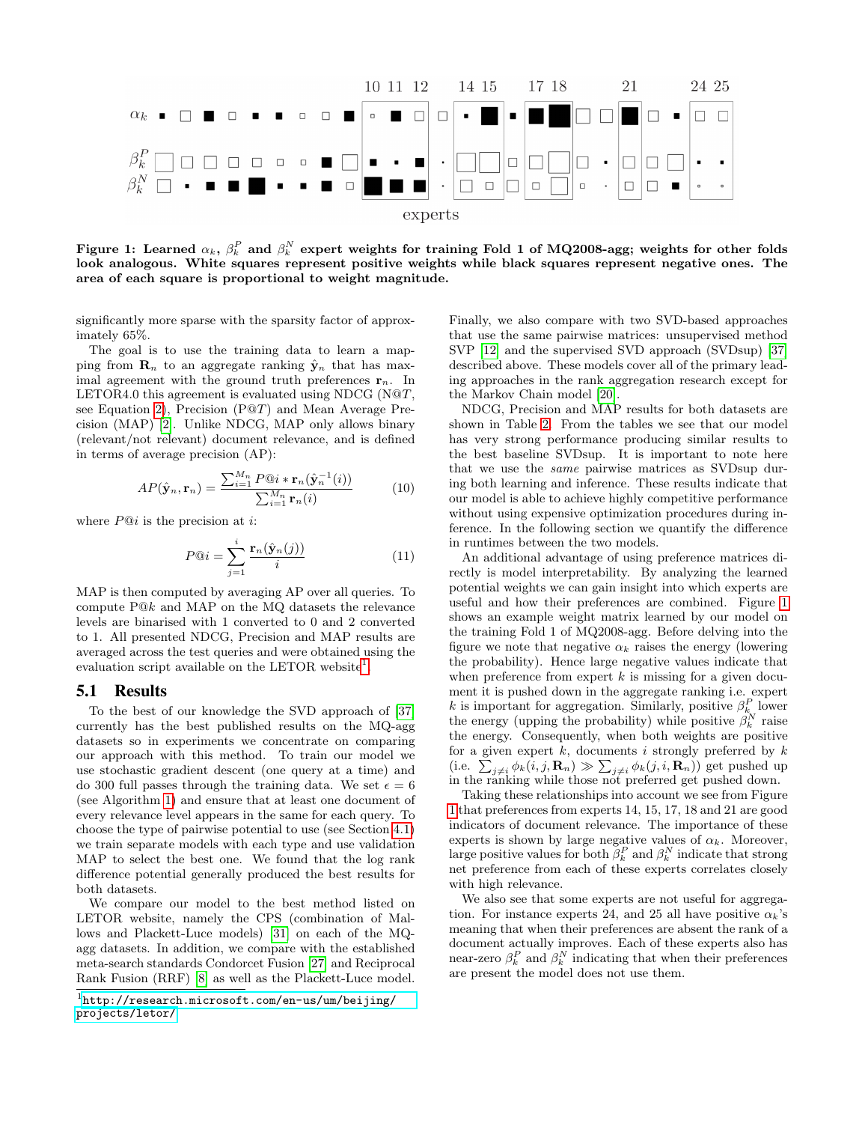

<span id="page-6-1"></span>Figure 1: Learned  $\alpha_k,~\beta^P_k$  and  $\beta^N_k$  expert weights for training Fold 1 of MQ2008-agg; weights for other folds look analogous. White squares represent positive weights while black squares represent negative ones. The area of each square is proportional to weight magnitude.

significantly more sparse with the sparsity factor of approximately 65%.

The goal is to use the training data to learn a mapping from  $\mathbf{R}_n$  to an aggregate ranking  $\hat{\mathbf{y}}_n$  that has maximal agreement with the ground truth preferences  $r_n$ . In LETOR4.0 this agreement is evaluated using NDCG (N@T, see Equation [2\)](#page-1-0), Precision (P@T) and Mean Average Precision (MAP) [\[2\]](#page-8-28). Unlike NDCG, MAP only allows binary (relevant/not relevant) document relevance, and is defined in terms of average precision (AP):

$$
AP(\hat{\mathbf{y}}_n, \mathbf{r}_n) = \frac{\sum_{i=1}^{M_n} P@i \ast \mathbf{r}_n(\hat{\mathbf{y}}_n^{-1}(i))}{\sum_{i=1}^{M_n} \mathbf{r}_n(i)} \tag{10}
$$

where  $P@i$  is the precision at *i*:

$$
P@i = \sum_{j=1}^{i} \frac{\mathbf{r}_n(\hat{\mathbf{y}}_n(j))}{i} \tag{11}
$$

MAP is then computed by averaging AP over all queries. To compute  $P@k$  and MAP on the MQ datasets the relevance levels are binarised with 1 converted to 0 and 2 converted to 1. All presented NDCG, Precision and MAP results are averaged across the test queries and were obtained using the evaluation script available on the LETOR website<sup>[1](#page-6-0)</sup>.

#### 5.1 Results

To the best of our knowledge the SVD approach of [\[37\]](#page-9-2) currently has the best published results on the MQ-agg datasets so in experiments we concentrate on comparing our approach with this method. To train our model we use stochastic gradient descent (one query at a time) and do 300 full passes through the training data. We set  $\epsilon = 6$ (see Algorithm [1\)](#page-4-0) and ensure that at least one document of every relevance level appears in the same for each query. To choose the type of pairwise potential to use (see Section [4.1\)](#page-3-1) we train separate models with each type and use validation MAP to select the best one. We found that the log rank difference potential generally produced the best results for both datasets.

We compare our model to the best method listed on LETOR website, namely the CPS (combination of Mallows and Plackett-Luce models) [\[31\]](#page-9-0) on each of the MQagg datasets. In addition, we compare with the established meta-search standards Condorcet Fusion [\[27\]](#page-8-3) and Reciprocal Rank Fusion (RRF) [\[8\]](#page-8-4) as well as the Plackett-Luce model.

Finally, we also compare with two SVD-based approaches that use the same pairwise matrices: unsupervised method SVP [\[12\]](#page-8-24) and the supervised SVD approach (SVDsup) [\[37\]](#page-9-2) described above. These models cover all of the primary leading approaches in the rank aggregation research except for the Markov Chain model [\[20\]](#page-8-8).

NDCG, Precision and MAP results for both datasets are shown in Table [2.](#page-5-0) From the tables we see that our model has very strong performance producing similar results to the best baseline SVDsup. It is important to note here that we use the same pairwise matrices as SVDsup during both learning and inference. These results indicate that our model is able to achieve highly competitive performance without using expensive optimization procedures during inference. In the following section we quantify the difference in runtimes between the two models.

An additional advantage of using preference matrices directly is model interpretability. By analyzing the learned potential weights we can gain insight into which experts are useful and how their preferences are combined. Figure [1](#page-6-1) shows an example weight matrix learned by our model on the training Fold 1 of MQ2008-agg. Before delving into the figure we note that negative  $\alpha_k$  raises the energy (lowering the probability). Hence large negative values indicate that when preference from expert  $k$  is missing for a given document it is pushed down in the aggregate ranking i.e. expert k is important for aggregation. Similarly, positive  $\beta_k^P$  lower the energy (upping the probability) while positive  $\beta_k^N$  raise the energy. Consequently, when both weights are positive for a given expert  $k$ , documents i strongly preferred by  $k$ (i.e.  $\sum_{j\neq i} \phi_k(i,j,\mathbf{R}_n) \gg \sum_{j\neq i} \phi_k(j,i,\mathbf{R}_n)$ ) get pushed up in the ranking while those not preferred get pushed down.

Taking these relationships into account we see from Figure [1](#page-6-1) that preferences from experts 14, 15, 17, 18 and 21 are good indicators of document relevance. The importance of these experts is shown by large negative values of  $\alpha_k$ . Moreover, large positive values for both  $\beta_k^P$  and  $\beta_k^N$  indicate that strong net preference from each of these experts correlates closely with high relevance.

We also see that some experts are not useful for aggregation. For instance experts 24, and 25 all have positive  $\alpha_k$ 's meaning that when their preferences are absent the rank of a document actually improves. Each of these experts also has near-zero  $\beta_k^P$  and  $\beta_k^N$  indicating that when their preferences are present the model does not use them.

<span id="page-6-0"></span><sup>1</sup> [http://research.microsoft.com/en-us/um/beijing/](http://research.microsoft.com/en-us/um/beijing/projects/letor/) [projects/letor/](http://research.microsoft.com/en-us/um/beijing/projects/letor/)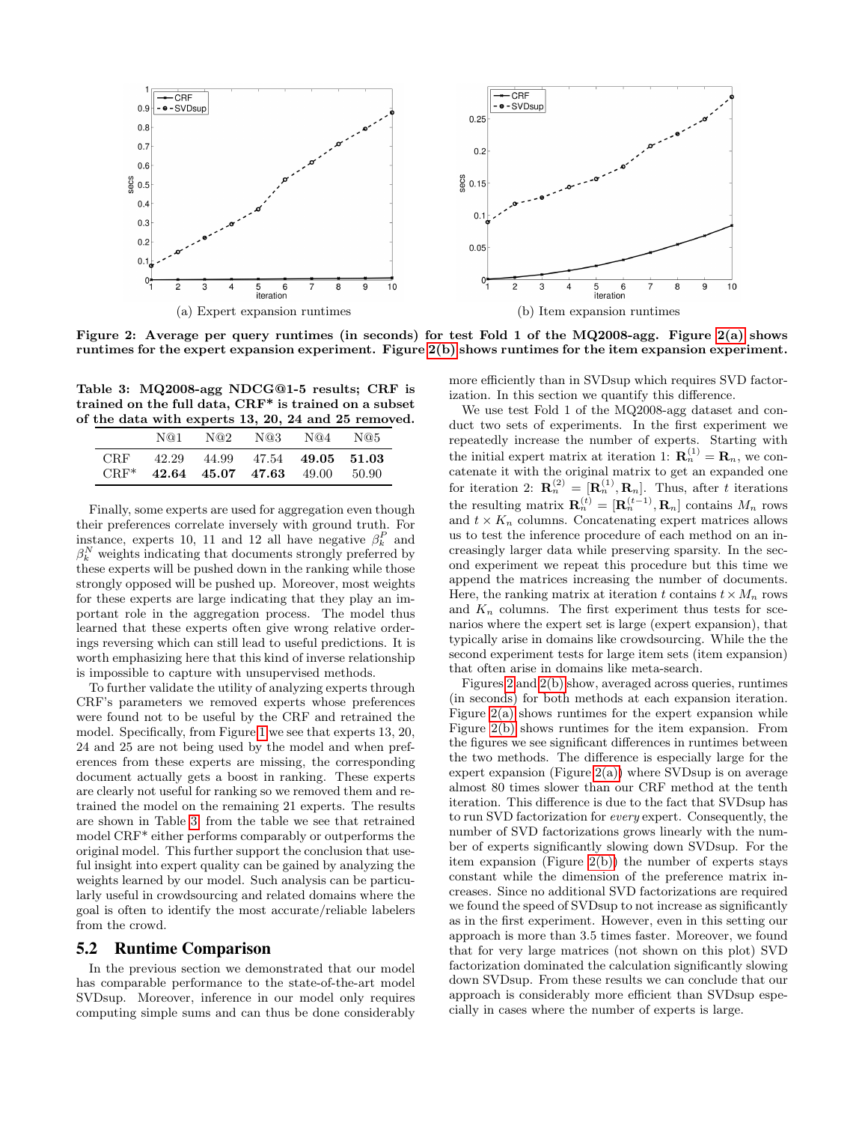<span id="page-7-0"></span>

<span id="page-7-3"></span>Figure 2: Average per query runtimes (in seconds) for test Fold 1 of the MQ2008-agg. Figure [2\(a\)](#page-7-0) shows runtimes for the expert expansion experiment. Figure [2\(b\)](#page-7-1) shows runtimes for the item expansion experiment.

<span id="page-7-2"></span>Table 3: MQ2008-agg NDCG@1-5 results; CRF is trained on the full data, CRF\* is trained on a subset of the data with experts 13, 20, 24 and 25 removed.

|     | N@1                                          | $N@2$ $N@3$ | N@4                           | N @ 5 |
|-----|----------------------------------------------|-------------|-------------------------------|-------|
| CRF | CRF* $42.64$ $45.07$ $47.63$ $49.00$ $50.90$ |             | 42.29 44.99 47.54 49.05 51.03 |       |

Finally, some experts are used for aggregation even though their preferences correlate inversely with ground truth. For instance, experts 10, 11 and 12 all have negative  $\beta_k^P$  and  $\beta_k^N$  weights indicating that documents strongly preferred by these experts will be pushed down in the ranking while those strongly opposed will be pushed up. Moreover, most weights for these experts are large indicating that they play an important role in the aggregation process. The model thus learned that these experts often give wrong relative orderings reversing which can still lead to useful predictions. It is worth emphasizing here that this kind of inverse relationship is impossible to capture with unsupervised methods.

To further validate the utility of analyzing experts through CRF's parameters we removed experts whose preferences were found not to be useful by the CRF and retrained the model. Specifically, from Figure [1](#page-6-1) we see that experts 13, 20, 24 and 25 are not being used by the model and when preferences from these experts are missing, the corresponding document actually gets a boost in ranking. These experts are clearly not useful for ranking so we removed them and retrained the model on the remaining 21 experts. The results are shown in Table [3,](#page-7-2) from the table we see that retrained model CRF\* either performs comparably or outperforms the original model. This further support the conclusion that useful insight into expert quality can be gained by analyzing the weights learned by our model. Such analysis can be particularly useful in crowdsourcing and related domains where the goal is often to identify the most accurate/reliable labelers from the crowd.

#### 5.2 Runtime Comparison

In the previous section we demonstrated that our model has comparable performance to the state-of-the-art model SVDsup. Moreover, inference in our model only requires computing simple sums and can thus be done considerably

<span id="page-7-1"></span>more efficiently than in SVDsup which requires SVD factorization. In this section we quantify this difference.

We use test Fold 1 of the MQ2008-agg dataset and conduct two sets of experiments. In the first experiment we repeatedly increase the number of experts. Starting with the initial expert matrix at iteration 1:  $\mathbf{R}_n^{(1)} = \mathbf{R}_n$ , we concatenate it with the original matrix to get an expanded one for iteration 2:  $\mathbf{R}_n^{(2)} = [\mathbf{R}_n^{(1)}, \mathbf{R}_n]$ . Thus, after t iterations the resulting matrix  $\mathbf{R}_n^{(t)} = [\mathbf{R}_n^{(t-1)}, \mathbf{R}_n]$  contains  $M_n$  rows and  $t \times K_n$  columns. Concatenating expert matrices allows us to test the inference procedure of each method on an increasingly larger data while preserving sparsity. In the second experiment we repeat this procedure but this time we append the matrices increasing the number of documents. Here, the ranking matrix at iteration t contains  $t \times M_n$  rows and  $K_n$  columns. The first experiment thus tests for scenarios where the expert set is large (expert expansion), that typically arise in domains like crowdsourcing. While the the second experiment tests for large item sets (item expansion) that often arise in domains like meta-search.

Figures [2](#page-7-3) and [2\(b\)](#page-7-1) show, averaged across queries, runtimes (in seconds) for both methods at each expansion iteration. Figure  $2(a)$  shows runtimes for the expert expansion while Figure [2\(b\)](#page-7-1) shows runtimes for the item expansion. From the figures we see significant differences in runtimes between the two methods. The difference is especially large for the expert expansion (Figure  $2(a)$ ) where SVDsup is on average almost 80 times slower than our CRF method at the tenth iteration. This difference is due to the fact that SVDsup has to run SVD factorization for every expert. Consequently, the number of SVD factorizations grows linearly with the number of experts significantly slowing down SVDsup. For the item expansion (Figure [2\(b\)\)](#page-7-1) the number of experts stays constant while the dimension of the preference matrix increases. Since no additional SVD factorizations are required we found the speed of SVDsup to not increase as significantly as in the first experiment. However, even in this setting our approach is more than 3.5 times faster. Moreover, we found that for very large matrices (not shown on this plot) SVD factorization dominated the calculation significantly slowing down SVDsup. From these results we can conclude that our approach is considerably more efficient than SVDsup especially in cases where the number of experts is large.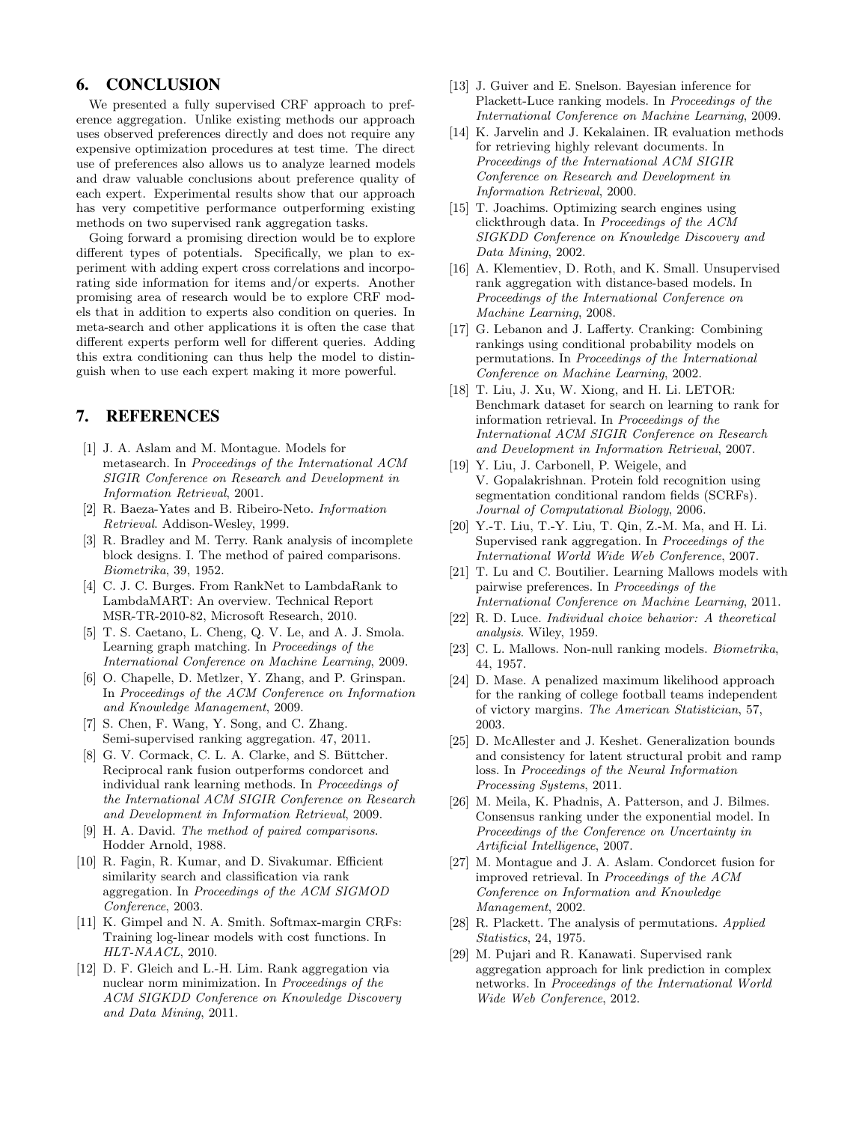# 6. CONCLUSION

We presented a fully supervised CRF approach to preference aggregation. Unlike existing methods our approach uses observed preferences directly and does not require any expensive optimization procedures at test time. The direct use of preferences also allows us to analyze learned models and draw valuable conclusions about preference quality of each expert. Experimental results show that our approach has very competitive performance outperforming existing methods on two supervised rank aggregation tasks.

Going forward a promising direction would be to explore different types of potentials. Specifically, we plan to experiment with adding expert cross correlations and incorporating side information for items and/or experts. Another promising area of research would be to explore CRF models that in addition to experts also condition on queries. In meta-search and other applications it is often the case that different experts perform well for different queries. Adding this extra conditioning can thus help the model to distinguish when to use each expert making it more powerful.

# 7. REFERENCES

- <span id="page-8-2"></span>[1] J. A. Aslam and M. Montague. Models for metasearch. In Proceedings of the International ACM SIGIR Conference on Research and Development in Information Retrieval, 2001.
- <span id="page-8-28"></span>[2] R. Baeza-Yates and B. Ribeiro-Neto. Information Retrieval. Addison-Wesley, 1999.
- <span id="page-8-5"></span>[3] R. Bradley and M. Terry. Rank analysis of incomplete block designs. I. The method of paired comparisons. Biometrika, 39, 1952.
- <span id="page-8-23"></span>[4] C. J. C. Burges. From RankNet to LambdaRank to LambdaMART: An overview. Technical Report MSR-TR-2010-82, Microsoft Research, 2010.
- <span id="page-8-27"></span>[5] T. S. Caetano, L. Cheng, Q. V. Le, and A. J. Smola. Learning graph matching. In Proceedings of the International Conference on Machine Learning, 2009.
- <span id="page-8-12"></span>[6] O. Chapelle, D. Metlzer, Y. Zhang, and P. Grinspan. In Proceedings of the ACM Conference on Information and Knowledge Management, 2009.
- <span id="page-8-20"></span>[7] S. Chen, F. Wang, Y. Song, and C. Zhang. Semi-supervised ranking aggregation. 47, 2011.
- <span id="page-8-4"></span>[8] G. V. Cormack, C. L. A. Clarke, and S. Büttcher. Reciprocal rank fusion outperforms condorcet and individual rank learning methods. In Proceedings of the International ACM SIGIR Conference on Research and Development in Information Retrieval, 2009.
- <span id="page-8-21"></span>[9] H. A. David. The method of paired comparisons. Hodder Arnold, 1988.
- <span id="page-8-17"></span>[10] R. Fagin, R. Kumar, and D. Sivakumar. Efficient similarity search and classification via rank aggregation. In Proceedings of the ACM SIGMOD Conference, 2003.
- <span id="page-8-25"></span>[11] K. Gimpel and N. A. Smith. Softmax-margin CRFs: Training log-linear models with cost functions. In HLT-NAACL, 2010.
- <span id="page-8-24"></span>[12] D. F. Gleich and L.-H. Lim. Rank aggregation via nuclear norm minimization. In Proceedings of the ACM SIGKDD Conference on Knowledge Discovery and Data Mining, 2011.
- <span id="page-8-7"></span>[13] J. Guiver and E. Snelson. Bayesian inference for Plackett-Luce ranking models. In Proceedings of the International Conference on Machine Learning, 2009.
- <span id="page-8-11"></span>[14] K. Jarvelin and J. Kekalainen. IR evaluation methods for retrieving highly relevant documents. In Proceedings of the International ACM SIGIR Conference on Research and Development in Information Retrieval, 2000.
- <span id="page-8-22"></span>[15] T. Joachims. Optimizing search engines using clickthrough data. In Proceedings of the ACM SIGKDD Conference on Knowledge Discovery and Data Mining, 2002.
- <span id="page-8-16"></span>[16] A. Klementiev, D. Roth, and K. Small. Unsupervised rank aggregation with distance-based models. In Proceedings of the International Conference on Machine Learning, 2008.
- <span id="page-8-15"></span>[17] G. Lebanon and J. Lafferty. Cranking: Combining rankings using conditional probability models on permutations. In Proceedings of the International Conference on Machine Learning, 2002.
- <span id="page-8-10"></span>[18] T. Liu, J. Xu, W. Xiong, and H. Li. LETOR: Benchmark dataset for search on learning to rank for information retrieval. In Proceedings of the International ACM SIGIR Conference on Research and Development in Information Retrieval, 2007.
- <span id="page-8-13"></span>[19] Y. Liu, J. Carbonell, P. Weigele, and V. Gopalakrishnan. Protein fold recognition using segmentation conditional random fields (SCRFs). Journal of Computational Biology, 2006.
- <span id="page-8-8"></span>[20] Y.-T. Liu, T.-Y. Liu, T. Qin, Z.-M. Ma, and H. Li. Supervised rank aggregation. In Proceedings of the International World Wide Web Conference, 2007.
- <span id="page-8-1"></span>[21] T. Lu and C. Boutilier. Learning Mallows models with pairwise preferences. In Proceedings of the International Conference on Machine Learning, 2011.
- <span id="page-8-19"></span>[22] R. D. Luce. Individual choice behavior: A theoretical analysis. Wiley, 1959.
- <span id="page-8-0"></span>[23] C. L. Mallows. Non-null ranking models. *Biometrika*, 44, 1957.
- <span id="page-8-18"></span>[24] D. Mase. A penalized maximum likelihood approach for the ranking of college football teams independent of victory margins. The American Statistician, 57, 2003.
- <span id="page-8-26"></span>[25] D. McAllester and J. Keshet. Generalization bounds and consistency for latent structural probit and ramp loss. In Proceedings of the Neural Information Processing Systems, 2011.
- <span id="page-8-14"></span>[26] M. Meila, K. Phadnis, A. Patterson, and J. Bilmes. Consensus ranking under the exponential model. In Proceedings of the Conference on Uncertainty in Artificial Intelligence, 2007.
- <span id="page-8-3"></span>[27] M. Montague and J. A. Aslam. Condorcet fusion for improved retrieval. In Proceedings of the ACM Conference on Information and Knowledge Management, 2002.
- <span id="page-8-6"></span>[28] R. Plackett. The analysis of permutations. Applied Statistics, 24, 1975.
- <span id="page-8-9"></span>[29] M. Pujari and R. Kanawati. Supervised rank aggregation approach for link prediction in complex networks. In Proceedings of the International World Wide Web Conference, 2012.